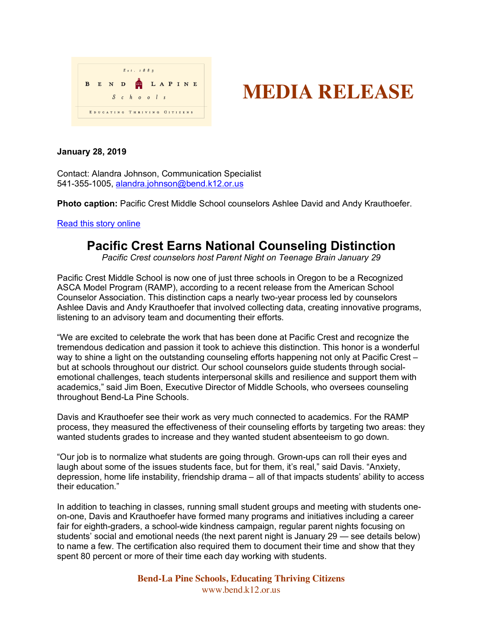



## **January 28, 2019**

Contact: Alandra Johnson, Communication Specialist 541-355-1005, alandra.johnson@bend.k12.or.us

**Photo caption:** Pacific Crest Middle School counselors Ashlee David and Andy Krauthoefer.

Read this story online

## **Pacific Crest Earns National Counseling Distinction**

*Pacific Crest counselors host Parent Night on Teenage Brain January 29*

Pacific Crest Middle School is now one of just three schools in Oregon to be a Recognized ASCA Model Program (RAMP), according to a recent release from the American School Counselor Association. This distinction caps a nearly two-year process led by counselors Ashlee Davis and Andy Krauthoefer that involved collecting data, creating innovative programs, listening to an advisory team and documenting their efforts.

"We are excited to celebrate the work that has been done at Pacific Crest and recognize the tremendous dedication and passion it took to achieve this distinction. This honor is a wonderful way to shine a light on the outstanding counseling efforts happening not only at Pacific Crest – but at schools throughout our district. Our school counselors guide students through socialemotional challenges, teach students interpersonal skills and resilience and support them with academics," said Jim Boen, Executive Director of Middle Schools, who oversees counseling throughout Bend-La Pine Schools.

Davis and Krauthoefer see their work as very much connected to academics. For the RAMP process, they measured the effectiveness of their counseling efforts by targeting two areas: they wanted students grades to increase and they wanted student absenteeism to go down.

"Our job is to normalize what students are going through. Grown-ups can roll their eyes and laugh about some of the issues students face, but for them, it's real," said Davis. "Anxiety, depression, home life instability, friendship drama – all of that impacts students' ability to access their education."

In addition to teaching in classes, running small student groups and meeting with students oneon-one, Davis and Krauthoefer have formed many programs and initiatives including a career fair for eighth-graders, a school-wide kindness campaign, regular parent nights focusing on students' social and emotional needs (the next parent night is January 29 — see details below) to name a few. The certification also required them to document their time and show that they spent 80 percent or more of their time each day working with students.

> **Bend-La Pine Schools, Educating Thriving Citizens** www.bend.k12.or.us